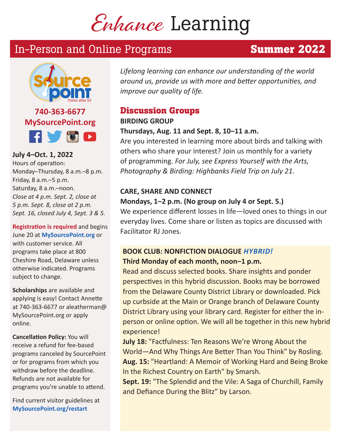# Enhance Learning

# In-Person and Online Programs **Summer 2022**



**740-363-6677 MySourcePoint.org FIVOD** 

**July 4–Oct. 1, 2022**  Hours of operation: Monday–Thursday, 8 a.m.–8 p.m. Friday, 8 a.m.–5 p.m. Saturday, 8 a.m.–noon. *Close at 4 p.m. Sept. 2, close at 5 p.m. Sept. 8, close at 2 p.m. Sept. 16, closed July 4, Sept. 3 & 5.*

**Registration is required** and begins June 20 at **MySourcePoint.org** or with customer service. All programs take place at 800 Cheshire Road, Delaware unless otherwise indicated. Programs subject to change.

**Scholarships** are available and applying is easy! Contact Annette at 740-363-6677 or aleatherman@ MySourcePoint.org or apply online.

**Cancellation Policy:** You will receive a refund for fee-based programs canceled by SourcePoint or for programs from which you withdraw before the deadline. Refunds are not available for programs you're unable to attend.

Find current visitor guidelines at **MySourcePoint.org/restart**

*Lifelong learning can enhance our understanding of the world around us, provide us with more and better opportunities, and improve our quality of life.*

# **Discussion Groups**

#### **BIRDING GROUP**

## **Thursdays, Aug. 11 and Sept. 8, 10‒11 a.m.**

Are you interested in learning more about birds and talking with others who share your interest? Join us monthly for a variety of programming. *For July, see Express Yourself with the Arts, Photography & Birding: Highbanks Field Trip on July 21.*

# **CARE, SHARE AND CONNECT**

# **Mondays, 1‒2 p.m. (No group on July 4 or Sept. 5.)**

We experience different losses in life—loved ones to things in our everyday lives. Come share or listen as topics are discussed with Facilitator RJ Jones.

# **BOOK CLUB: NONFICTION DIALOGUE** *HYBRID!* **Third Monday of each month, noon‒1 p.m.**

Read and discuss selected books. Share insights and ponder perspectives in this hybrid discussion. Books may be borrowed from the Delaware County District Library or downloaded. Pick up curbside at the Main or Orange branch of Delaware County District Library using your library card. Register for either the inperson or online option. We will all be together in this new hybrid experience!

**July 18:** "Factfulness: Ten Reasons We're Wrong About the World—And Why Things Are Better Than You Think" by Rosling. **Aug. 15:** "Heartland: A Memoir of Working Hard and Being Broke In the Richest Country on Earth" by Smarsh.

**Sept. 19:** "The Splendid and the Vile: A Saga of Churchill, Family and Defiance During the Blitz" by Larson.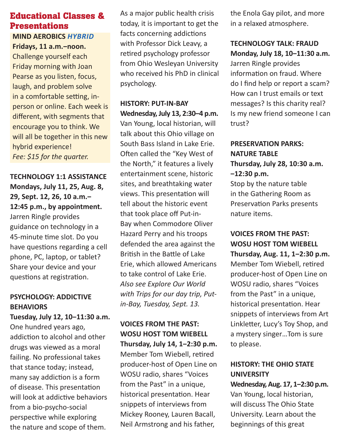# **Educational Classes & Presentations**

# **MIND AEROBICS** *HYBRID*

**Fridays, 11 a.m.‒noon.**  Challenge yourself each Friday morning with Joan Pearse as you listen, focus, laugh, and problem solve in a comfortable setting, inperson or online. Each week is different, with segments that encourage you to think. We will all be together in this new hybrid experience! *Fee: \$15 for the quarter.*

**TECHNOLOGY 1:1 ASSISTANCE Mondays, July 11, 25, Aug. 8, 29, Sept. 12, 26, 10 a.m.‒ 12:45 p.m., by appointment.** Jarren Ringle provides guidance on technology in a 45-minute time slot. Do you have questions regarding a cell phone, PC, laptop, or tablet? Share your device and your questions at registration.

# **PSYCHOLOGY: ADDICTIVE BEHAVIORS**

#### **Tuesday, July 12, 10‒11:30 a.m.**

One hundred years ago, addiction to alcohol and other drugs was viewed as a moral failing. No professional takes that stance today; instead, many say addiction is a form of disease. This presentation will look at addictive behaviors from a bio-psycho-social perspective while exploring the nature and scope of them.

As a major public health crisis today, it is important to get the facts concerning addictions with Professor Dick Leavy, a retired psychology professor from Ohio Wesleyan University who received his PhD in clinical psychology.

# **HISTORY: PUT-IN-BAY Wednesday, July 13, 2:30‒4 p.m.**

Van Young, local historian, will talk about this Ohio village on South Bass Island in Lake Erie. Often called the "Key West of the North," it features a lively entertainment scene, historic sites, and breathtaking water views. This presentation will tell about the historic event that took place off Put-in-Bay when Commodore Oliver Hazard Perry and his troops defended the area against the British in the Battle of Lake Erie, which allowed Americans to take control of Lake Erie. *Also see Explore Our World with Trips for our day trip, Putin-Bay, Tuesday, Sept. 13.*

# **VOICES FROM THE PAST: WOSU HOST TOM WIEBELL**

**Thursday, July 14, 1‒2:30 p.m.** Member Tom Wiebell, retired producer-host of Open Line on WOSU radio, shares "Voices from the Past" in a unique, historical presentation. Hear snippets of interviews from Mickey Rooney, Lauren Bacall, Neil Armstrong and his father,

the Enola Gay pilot, and more in a relaxed atmosphere.

# **TECHNOLOGY TALK: FRAUD Monday, July 18, 10‒11:30 a.m.**

Jarren Ringle provides information on fraud. Where do I find help or report a scam? How can I trust emails or text messages? Is this charity real? Is my new friend someone I can trust?

# **PRESERVATION PARKS: NATURE TABLE Thursday, July 28, 10:30 a.m. ‒12:30 p.m.**

Stop by the nature table in the Gathering Room as Preservation Parks presents nature items.

# **VOICES FROM THE PAST: WOSU HOST TOM WIEBELL**

**Thursday, Aug. 11, 1‒2:30 p.m.** Member Tom Wiebell, retired producer-host of Open Line on WOSU radio, shares "Voices from the Past" in a unique, historical presentation. Hear snippets of interviews from Art Linkletter, Lucy's Toy Shop, and a mystery singer…Tom is sure to please.

# **HISTORY: THE OHIO STATE UNIVERSITY**

**Wednesday, Aug. 17, 1‒2:30 p.m.** Van Young, local historian, will discuss The Ohio State University. Learn about the beginnings of this great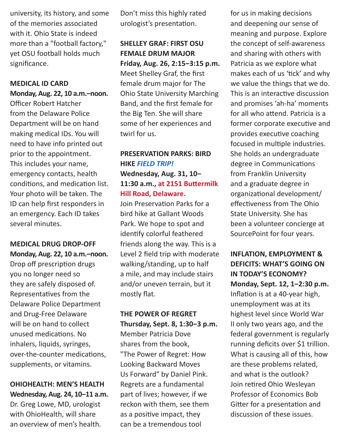university, its history, and some of the memories associated with it. Ohio State is indeed more than a "football factory," yet OSU football holds much significance.

#### **MEDICAL ID CARD**

**Monday, Aug. 22, 10 a.m.‒noon.**

Officer Robert Hatcher from the Delaware Police Department will be on hand making medical IDs. You will need to have info printed out prior to the appointment. This includes your name, emergency contacts, health conditions, and medication list. Your photo will be taken. The ID can help first responders in an emergency. Each ID takes several minutes.

# **MEDICAL DRUG DROP-OFF Monday, Aug. 22, 10 a.m.‒noon.**

Drop off prescription drugs you no longer need so they are safely disposed of. Representatives from the Delaware Police Department and Drug-Free Delaware will be on hand to collect unused medications. No inhalers, liquids, syringes, over-the-counter medications, supplements, or vitamins.

## **OHIOHEALTH: MEN'S HEALTH Wednesday, Aug. 24, 10‒11 a.m.** Dr. Greg Lowe, MD, urologist

with OhioHealth, will share an overview of men's health.

Don't miss this highly rated urologist's presentation.

# **SHELLEY GRAF: FIRST OSU FEMALE DRUM MAJOR Friday, Aug. 26, 2:15‒3:15 p.m.** Meet Shelley Graf, the first female drum major for The Ohio State University Marching Band, and the first female for the Big Ten. She will share some of her experiences and twirl for us.

# **PRESERVATION PARKS: BIRD HIKE** *FIELD TRIP!* **Wednesday, Aug. 31, 10‒ 11:30 a.m., at 2151 Buttermilk Hill Road, Delaware.**

Join Preservation Parks for a bird hike at Gallant Woods Park. We hope to spot and identify colorful feathered friends along the way. This is a Level 2 field trip with moderate walking/standing, up to half a mile, and may include stairs and/or uneven terrain, but it mostly flat.

# **THE POWER OF REGRET Thursday, Sept. 8, 1:30‒3 p.m.** Member Patricia Dove shares from the book, "The Power of Regret: How Looking Backward Moves Us Forward" by Daniel Pink. Regrets are a fundamental part of lives; however, if we reckon with them, see them as a positive impact, they can be a tremendous tool

for us in making decisions and deepening our sense of meaning and purpose. Explore the concept of self-awareness and sharing with others with Patricia as we explore what makes each of us 'tick' and why we value the things that we do. This is an interactive discussion and promises 'ah-ha' moments for all who attend. Patricia is a former corporate executive and provides executive coaching focused in multiple industries. She holds an undergraduate degree in Communications from Franklin University and a graduate degree in organizational development/ effectiveness from The Ohio State University. She has been a volunteer concierge at SourcePoint for four years.

**INFLATION, EMPLOYMENT & DEFICITS: WHAT'S GOING ON IN TODAY'S ECONOMY? Monday, Sept. 12, 1‒2:30 p.m.** Inflation is at a 40-year high, unemployment was at its highest level since World War II only two years ago, and the federal government is regularly running deficits over \$1 trillion. What is causing all of this, how are these problems related, and what is the outlook? Join retired Ohio Wesleyan Professor of Economics Bob Gitter for a presentation and discussion of these issues.